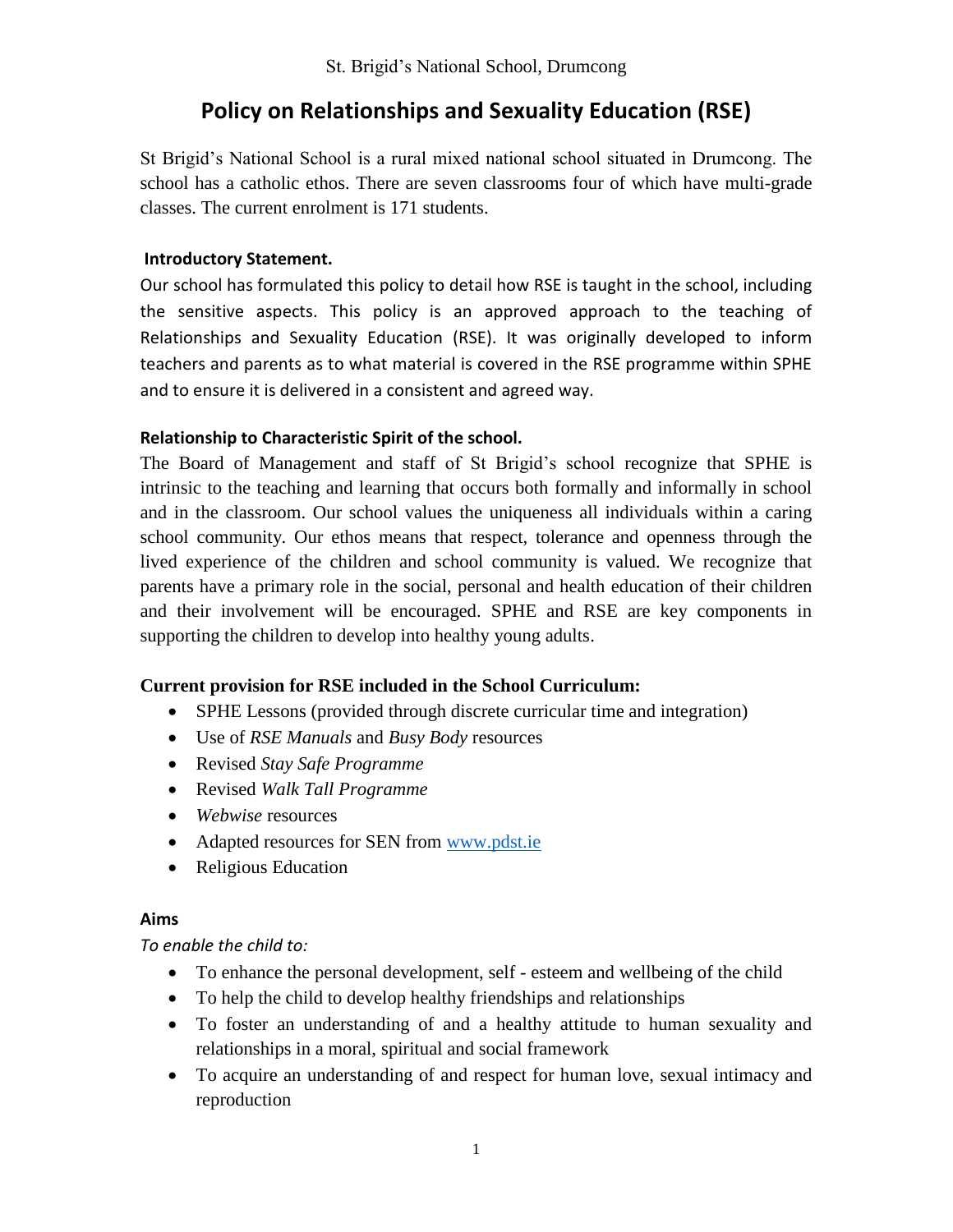# **Policy on Relationships and Sexuality Education (RSE)**

St Brigid's National School is a rural mixed national school situated in Drumcong. The school has a catholic ethos. There are seven classrooms four of which have multi-grade classes. The current enrolment is 171 students.

### **Introductory Statement.**

Our school has formulated this policy to detail how RSE is taught in the school, including the sensitive aspects. This policy is an approved approach to the teaching of Relationships and Sexuality Education (RSE). It was originally developed to inform teachers and parents as to what material is covered in the RSE programme within SPHE and to ensure it is delivered in a consistent and agreed way.

### **Relationship to Characteristic Spirit of the school.**

The Board of Management and staff of St Brigid's school recognize that SPHE is intrinsic to the teaching and learning that occurs both formally and informally in school and in the classroom. Our school values the uniqueness all individuals within a caring school community. Our ethos means that respect, tolerance and openness through the lived experience of the children and school community is valued. We recognize that parents have a primary role in the social, personal and health education of their children and their involvement will be encouraged. SPHE and RSE are key components in supporting the children to develop into healthy young adults.

### **Current provision for RSE included in the School Curriculum:**

- SPHE Lessons (provided through discrete curricular time and integration)
- Use of *RSE Manuals* and *Busy Body* resources
- Revised *Stay Safe Programme*
- Revised *Walk Tall Programme*
- *Webwise* resources
- Adapted resources for SEN from [www.pdst.ie](http://www.pdst.ie/)
- Religious Education

### **Aims**

### *To enable the child to:*

- To enhance the personal development, self esteem and wellbeing of the child
- To help the child to develop healthy friendships and relationships
- To foster an understanding of and a healthy attitude to human sexuality and relationships in a moral, spiritual and social framework
- To acquire an understanding of and respect for human love, sexual intimacy and reproduction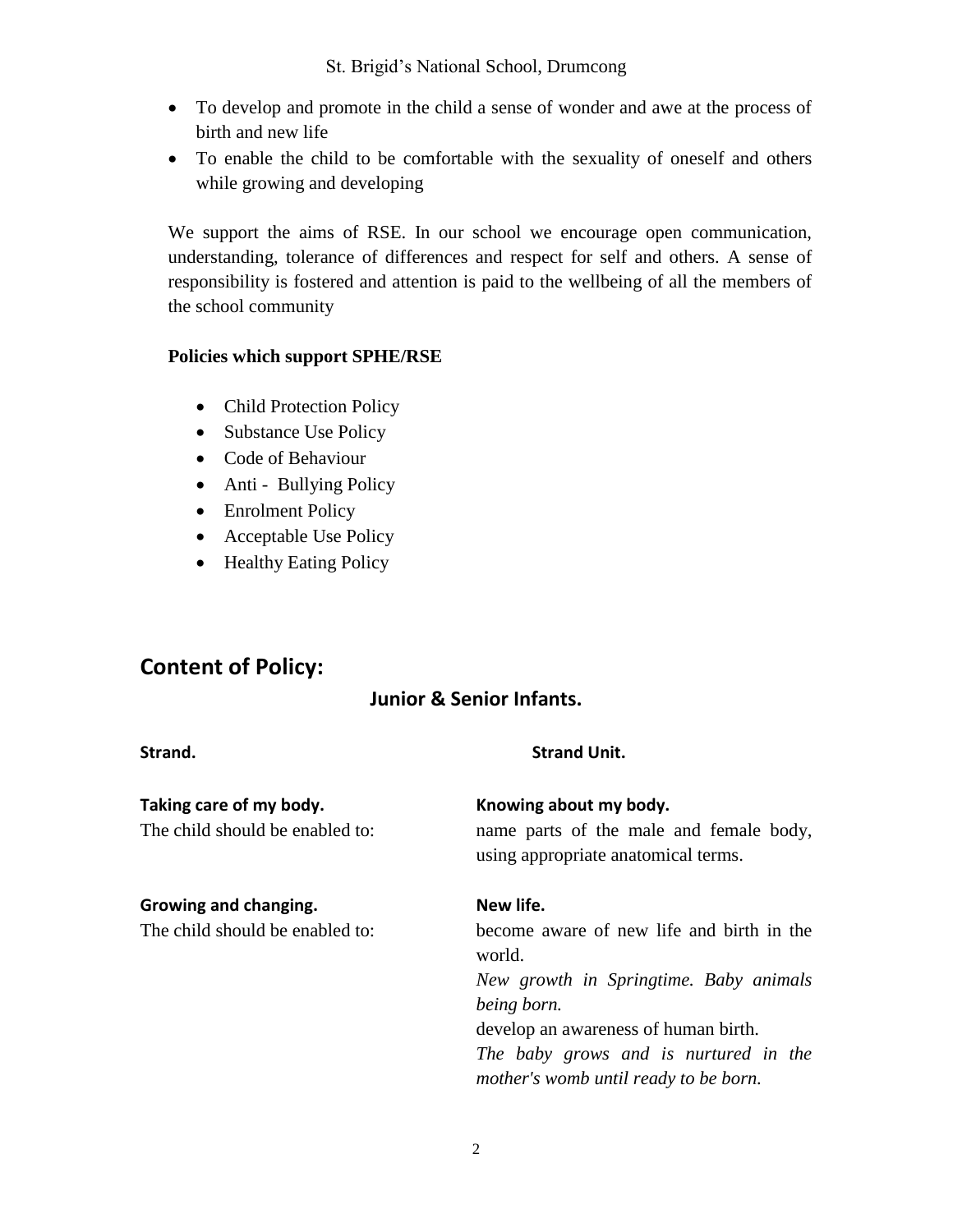- To develop and promote in the child a sense of wonder and awe at the process of birth and new life
- To enable the child to be comfortable with the sexuality of oneself and others while growing and developing

We support the aims of RSE. In our school we encourage open communication, understanding, tolerance of differences and respect for self and others. A sense of responsibility is fostered and attention is paid to the wellbeing of all the members of the school community

# **Policies which support SPHE/RSE**

- Child Protection Policy
- Substance Use Policy
- Code of Behaviour
- Anti Bullying Policy
- Enrolment Policy
- Acceptable Use Policy
- Healthy Eating Policy

# **Content of Policy:**

# **Junior & Senior Infants.**

| Strand.                                                    | <b>Strand Unit.</b>                                                                                      |
|------------------------------------------------------------|----------------------------------------------------------------------------------------------------------|
| Taking care of my body.<br>The child should be enabled to: | Knowing about my body.<br>name parts of the male and female body,<br>using appropriate anatomical terms. |
| Growing and changing.                                      | New life.                                                                                                |
| The child should be enabled to:                            | become aware of new life and birth in the<br>world.                                                      |
|                                                            | New growth in Springtime. Baby animals                                                                   |
|                                                            | being born.                                                                                              |
|                                                            | develop an awareness of human birth.                                                                     |
|                                                            | The baby grows and is nurtured in the<br>mother's womb until ready to be born.                           |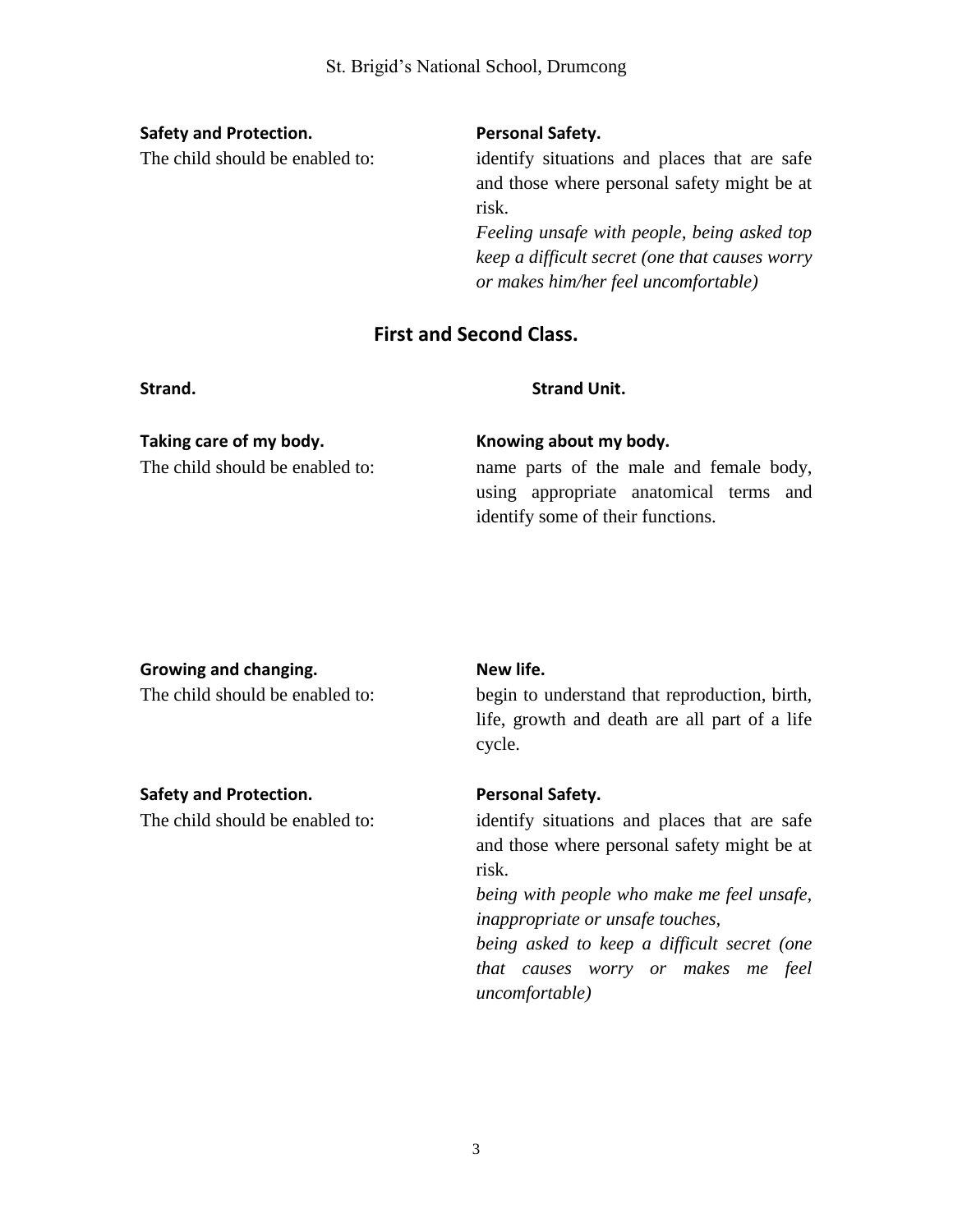### **Safety and Protection. Personal Safety.**

The child should be enabled to: identify situations and places that are safe and those where personal safety might be at risk.

> *Feeling unsafe with people, being asked top keep a difficult secret (one that causes worry or makes him/her feel uncomfortable)*

# **First and Second Class.**

#### **Strand. Strand Unit.**

#### **Taking care of my body. Knowing about my body.**

The child should be enabled to: name parts of the male and female body, using appropriate anatomical terms and identify some of their functions.

### **Growing and changing. New life.**

# **Safety and Protection. Personal Safety.**

The child should be enabled to: begin to understand that reproduction, birth, life, growth and death are all part of a life cycle.

The child should be enabled to: identify situations and places that are safe and those where personal safety might be at risk.

> *being with people who make me feel unsafe, inappropriate or unsafe touches,*

> *being asked to keep a difficult secret (one that causes worry or makes me feel uncomfortable)*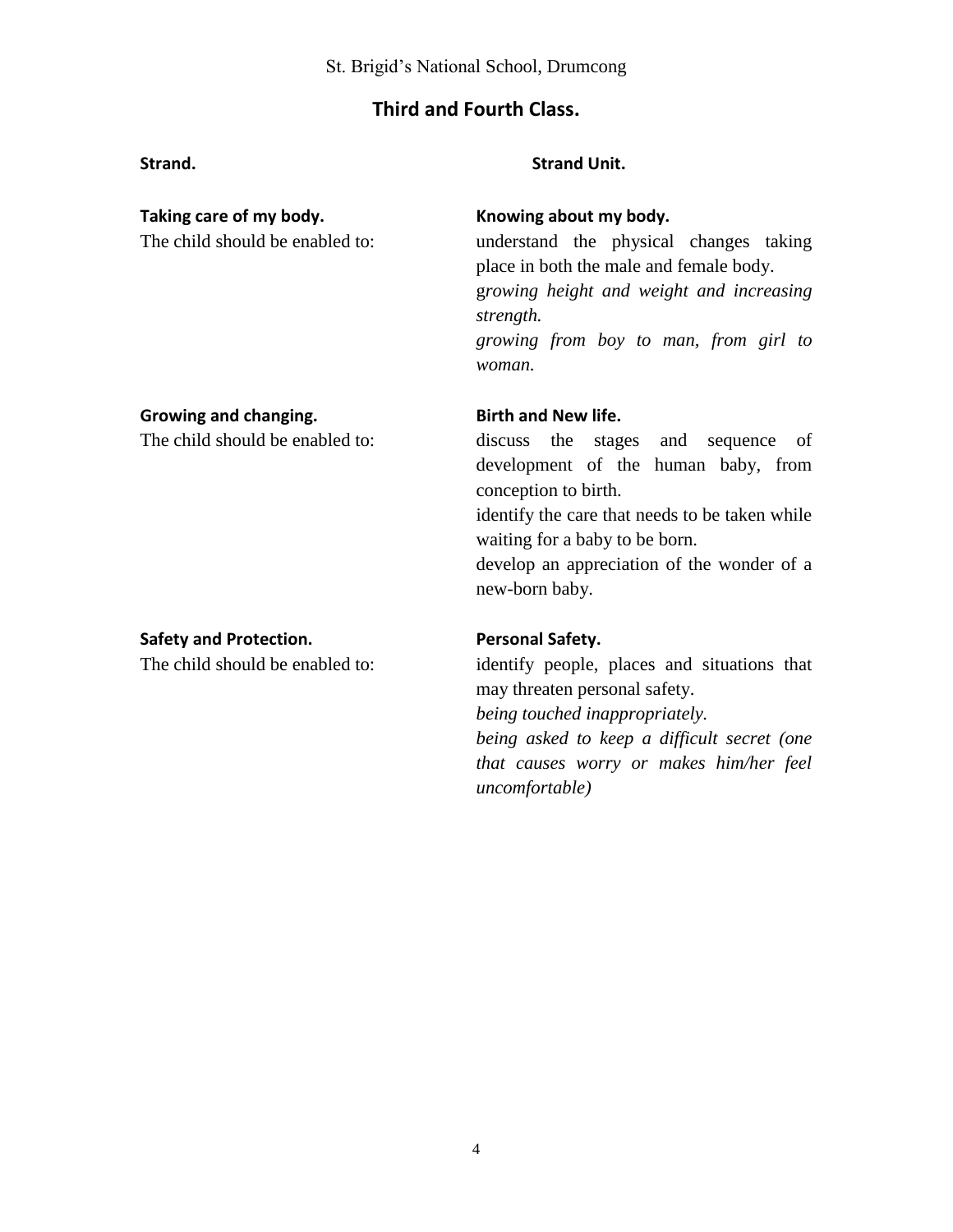# **Third and Fourth Class.**

### **Strand. Strand Unit.**

### **Taking care of my body. Knowing about my body.**

The child should be enabled to: understand the physical changes taking place in both the male and female body. g*rowing height and weight and increasing strength. growing from boy to man, from girl to* 

### **Growing and changing. Birth and New life.**

*woman.*

The child should be enabled to: discuss the stages and sequence of development of the human baby, from conception to birth. identify the care that needs to be taken while waiting for a baby to be born. develop an appreciation of the wonder of a new-born baby.

### **Safety and Protection. Personal Safety.**

The child should be enabled to: identify people, places and situations that may threaten personal safety.

*being touched inappropriately.*

*being asked to keep a difficult secret (one that causes worry or makes him/her feel uncomfortable)*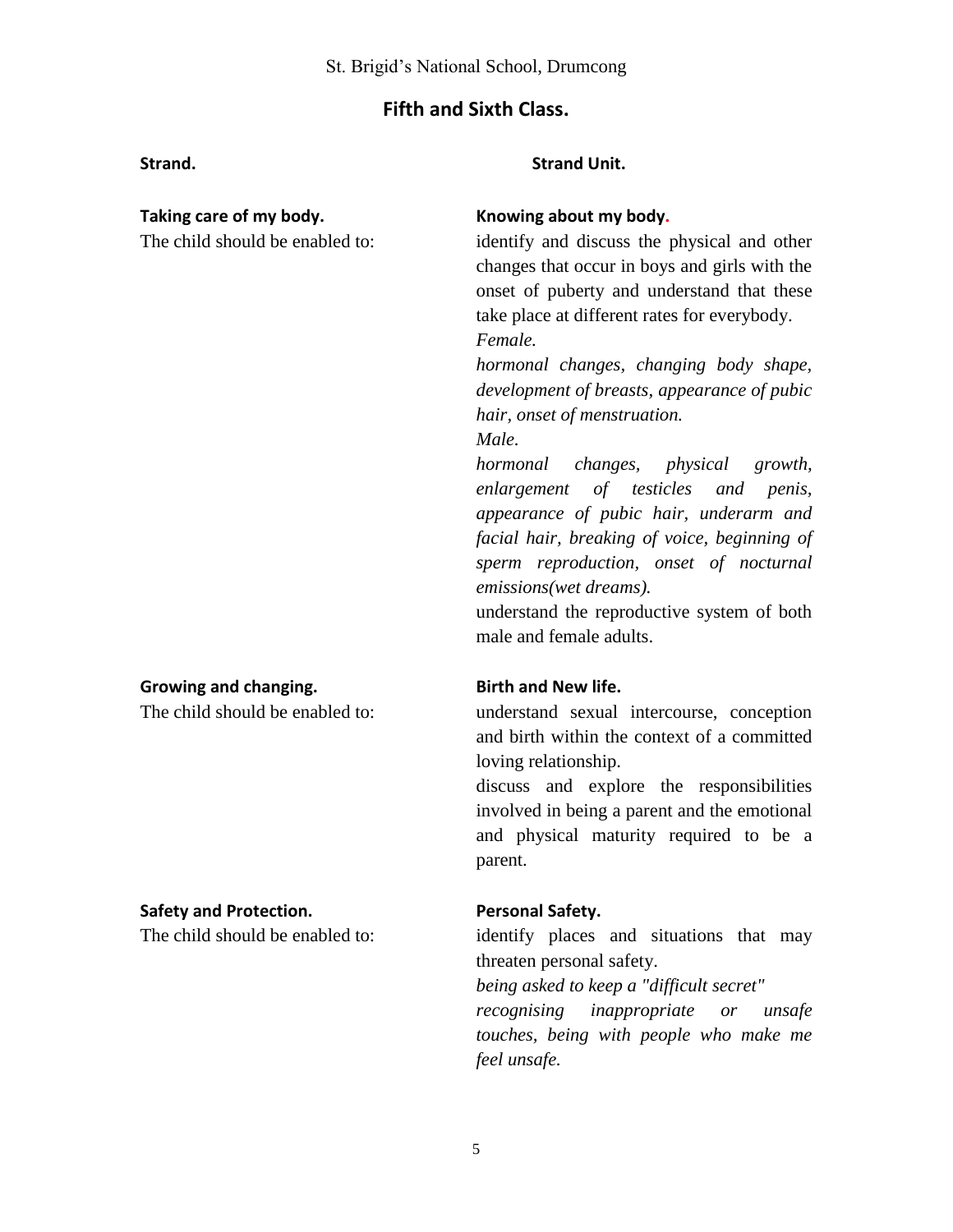# **Fifth and Sixth Class.**

#### **Strand. Strand Unit.**

### **Growing and changing. Birth and New life.**

### **Safety and Protection. Personal Safety.**

### **Taking care of my body. Knowing about my body.**

The child should be enabled to: identify and discuss the physical and other changes that occur in boys and girls with the onset of puberty and understand that these take place at different rates for everybody. *Female.*

> *hormonal changes, changing body shape, development of breasts, appearance of pubic hair, onset of menstruation. Male.*

> *hormonal changes, physical growth,*

*enlargement of testicles and penis, appearance of pubic hair, underarm and facial hair, breaking of voice, beginning of sperm reproduction, onset of nocturnal emissions(wet dreams).*

understand the reproductive system of both male and female adults.

The child should be enabled to: understand sexual intercourse, conception and birth within the context of a committed loving relationship.

> discuss and explore the responsibilities involved in being a parent and the emotional and physical maturity required to be a parent.

The child should be enabled to: identify places and situations that may threaten personal safety.

*being asked to keep a "difficult secret"*

*recognising inappropriate or unsafe touches, being with people who make me feel unsafe.*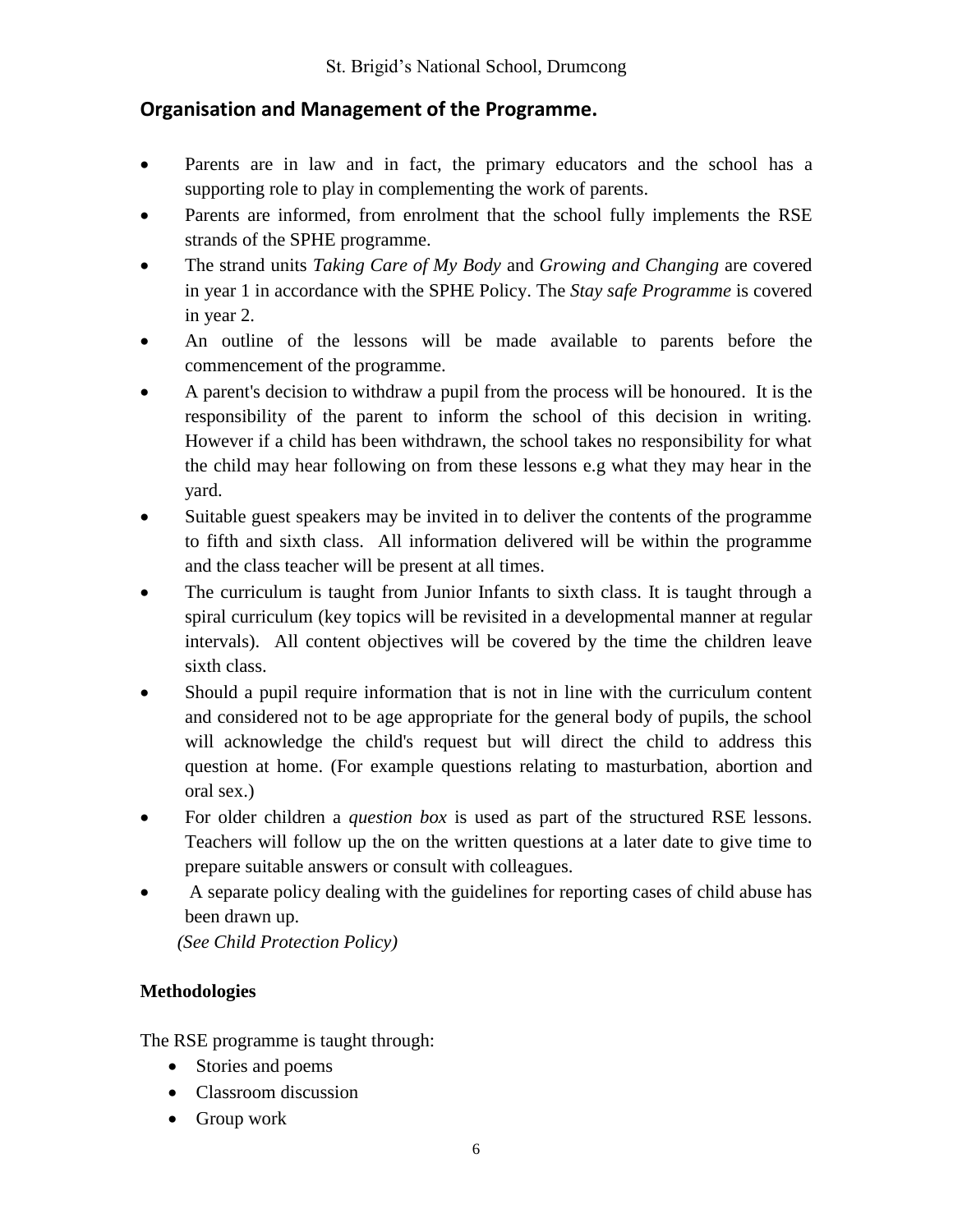# **Organisation and Management of the Programme.**

- Parents are in law and in fact, the primary educators and the school has a supporting role to play in complementing the work of parents.
- Parents are informed, from enrolment that the school fully implements the RSE strands of the SPHE programme.
- The strand units *Taking Care of My Body* and *Growing and Changing* are covered in year 1 in accordance with the SPHE Policy. The *Stay safe Programme* is covered in year 2.
- An outline of the lessons will be made available to parents before the commencement of the programme.
- A parent's decision to withdraw a pupil from the process will be honoured. It is the responsibility of the parent to inform the school of this decision in writing. However if a child has been withdrawn, the school takes no responsibility for what the child may hear following on from these lessons e.g what they may hear in the yard.
- Suitable guest speakers may be invited in to deliver the contents of the programme to fifth and sixth class. All information delivered will be within the programme and the class teacher will be present at all times.
- The curriculum is taught from Junior Infants to sixth class. It is taught through a spiral curriculum (key topics will be revisited in a developmental manner at regular intervals). All content objectives will be covered by the time the children leave sixth class.
- Should a pupil require information that is not in line with the curriculum content and considered not to be age appropriate for the general body of pupils, the school will acknowledge the child's request but will direct the child to address this question at home. (For example questions relating to masturbation, abortion and oral sex.)
- For older children a *question box* is used as part of the structured RSE lessons. Teachers will follow up the on the written questions at a later date to give time to prepare suitable answers or consult with colleagues.
- A separate policy dealing with the guidelines for reporting cases of child abuse has been drawn up.

 *(See Child Protection Policy)*

# **Methodologies**

The RSE programme is taught through:

- Stories and poems
- Classroom discussion
- Group work